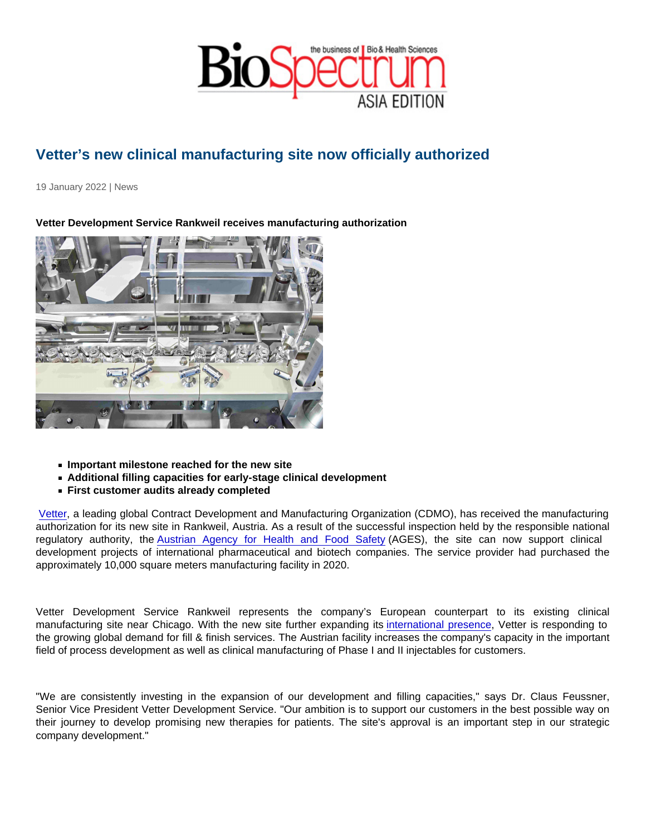## Vetter's new clinical manufacturing site now officially authorized

19 January 2022 | News

Vetter Development Service Rankweil receives manufacturing authorization

- $\blacksquare$  Important milestone reached for the new site
- Additional filling capacities for early-stage clinical development
- First customer audits already completed

[Vetter](https://www.vetter-pharma.com/en/), a leading global Contract Development and Manufacturing Organization (CDMO), has received the manufacturing authorization for its new site in Rankweil, Austria. As a result of the successful inspection held by the responsible national regulatory authority, the [Austrian Agency for Health and Food Safety](https://www.ages.at/en/healthy-life-for-humans-animals-and-plants/) (AGES), the site can now support clinical development projects of international pharmaceutical and biotech companies. The service provider had purchased the approximately 10,000 square meters manufacturing facility in 2020.

Vetter Development Service Rankweil represents the company's European counterpart to its existing clinical manufacturing site near Chicago. With the new site further expanding its [international presence,](https://www.vetter-pharma.com/en/about-us/locations/) Vetter is responding to the growing global demand for fill & finish services. The Austrian facility increases the company's capacity in the important field of process development as well as clinical manufacturing of Phase I and II injectables for customers.

"We are consistently investing in the expansion of our development and filling capacities," says Dr. Claus Feussner, Senior Vice President Vetter Development Service. "Our ambition is to support our customers in the best possible way on their journey to develop promising new therapies for patients. The site's approval is an important step in our strategic company development."